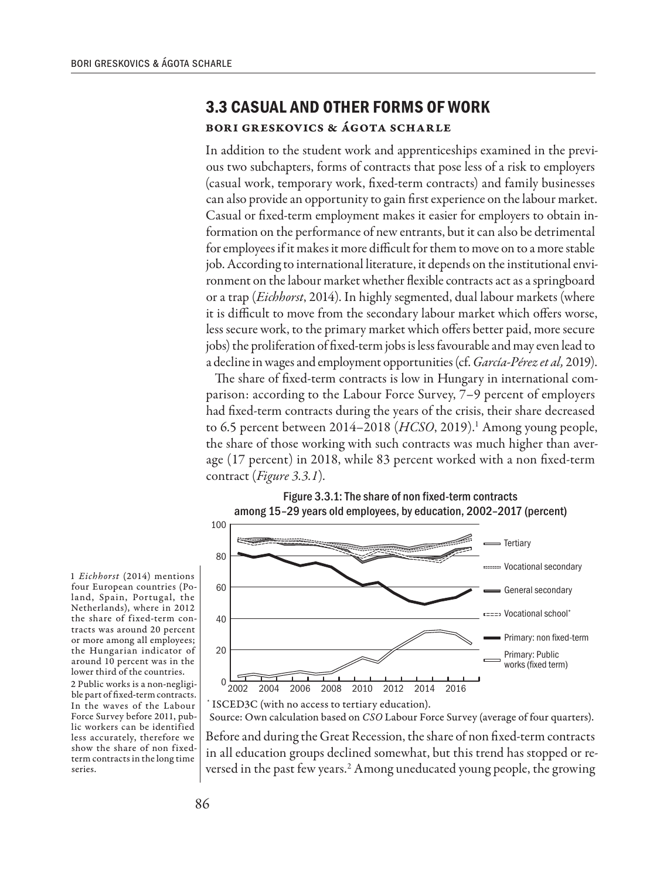## **3.3 CASUAL AND OTHER FORMS OF WORK**

## Bori Greskovics & Ágota Scharle

In addition to the student work and apprenticeships examined in the previous two subchapters, forms of contracts that pose less of a risk to employers (casual work, temporary work, fixed-term contracts) and family businesses can also provide an opportunity to gain first experience on the labour market. Casual or fixed-term employment makes it easier for employers to obtain information on the performance of new entrants, but it can also be detrimental for employees if it makes it more difficult for them to move on to a more stable job. According to international literature, it depends on the institutional environment on the labour market whether flexible contracts act as a springboard or a trap (*Eichhorst*, 2014). In highly segmented, dual labour markets (where it is difficult to move from the secondary labour market which offers worse, less secure work, to the primary market which offers better paid, more secure jobs) the proliferation of fixed-term jobs is less favourable and may even lead to a decline in wages and employment opportunities (cf. *García-Pérez et al,* 2019).

The share of fixed-term contracts is low in Hungary in international comparison: according to the Labour Force Survey, 7–9 percent of employers had fixed-term contracts during the years of the crisis, their share decreased to 6.5 percent between 2014–2018 (HCSO, 2019).<sup>1</sup> Among young people, the share of those working with such contracts was much higher than average (17 percent) in 2018, while 83 percent worked with a non fixed-term contract (*Figure 3.3.1*)*.*



1 *Eichhorst* (2014) mentions four European countries (Poland, Spain, Portugal, the Netherlands), where in 2012 the share of fixed-term contracts was around 20 percent or more among all employees; the Hungarian indicator of around 10 percent was in the lower third of the countries.

2 Public works is a non-negligible part of fixed-term contracts. In the waves of the Labour Force Survey before 2011, public workers can be identified less accurately, therefore we show the share of non fixedterm contracts in the long time series.

\* ISCED3C (with no access to tertiary education). Source: Own calculation based on *CSO* Labour Force Survey (average of four quarters).

Before and during the Great Recession, the share of non fixed-term contracts in all education groups declined somewhat, but this trend has stopped or reversed in the past few years.<sup>2</sup> Among uneducated young people, the growing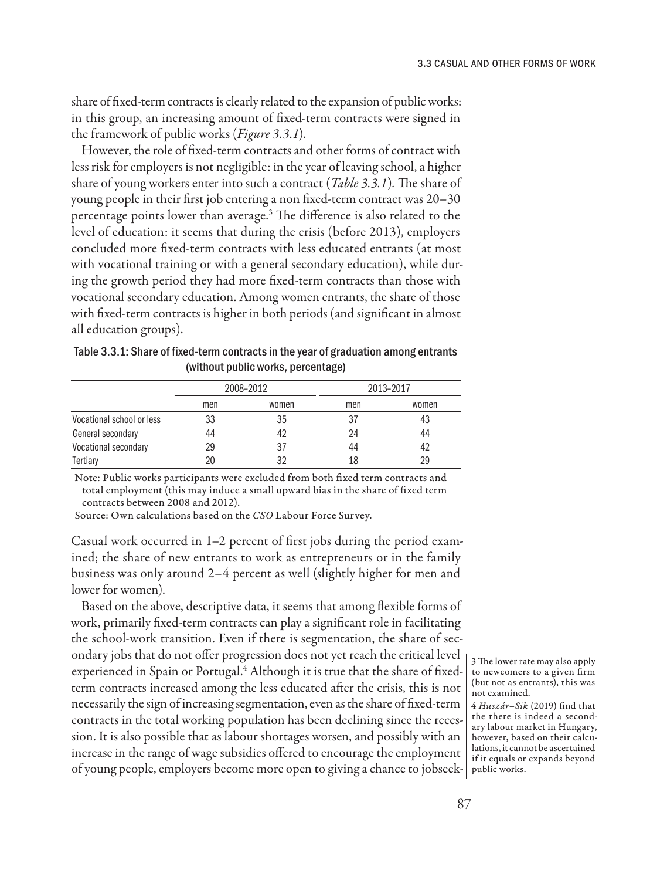share of fixed-term contracts is clearly related to the expansion of public works: in this group, an increasing amount of fixed-term contracts were signed in the framework of public works (*Figure 3.3.1*)*.*

However, the role of fixed-term contracts and other forms of contract with less risk for employers is not negligible: in the year of leaving school, a higher share of young workers enter into such a contract (*Table 3.3.1*)*.* The share of young people in their first job entering a non fixed-term contract was 20–30 percentage points lower than average.3 The difference is also related to the level of education: it seems that during the crisis (before 2013), employers concluded more fixed-term contracts with less educated entrants (at most with vocational training or with a general secondary education), while during the growth period they had more fixed-term contracts than those with vocational secondary education. Among women entrants, the share of those with fixed-term contracts is higher in both periods (and significant in almost all education groups).

| Table 3.3.1: Share of fixed-term contracts in the year of graduation among entrants |
|-------------------------------------------------------------------------------------|
| (without public works, percentage)                                                  |

|                           | 2008-2012 |       | 2013-2017 |       |
|---------------------------|-----------|-------|-----------|-------|
|                           | men       | women | men       | women |
| Vocational school or less | 33        | 35    | 37        | 43    |
| General secondary         | 44        | 42    | 24        | 44    |
| Vocational secondary      | 29        | 37    | 44        | 42    |
| Tertiary                  | 20        | 32    | 18        | 29    |

Note: Public works participants were excluded from both fixed term contracts and total employment (this may induce a small upward bias in the share of fixed term contracts between 2008 and 2012).

Source: Own calculations based on the *CSO* Labour Force Survey.

Casual work occurred in 1–2 percent of first jobs during the period examined; the share of new entrants to work as entrepreneurs or in the family business was only around 2–4 percent as well (slightly higher for men and lower for women).

Based on the above, descriptive data, it seems that among flexible forms of work, primarily fixed-term contracts can play a significant role in facilitating the school-work transition. Even if there is segmentation, the share of secondary jobs that do not offer progression does not yet reach the critical level experienced in Spain or Portugal.<sup>4</sup> Although it is true that the share of fixedterm contracts increased among the less educated after the crisis, this is not necessarily the sign of increasing segmentation, even as the share of fixed-term contracts in the total working population has been declining since the recession. It is also possible that as labour shortages worsen, and possibly with an increase in the range of wage subsidies offered to encourage the employment of young people, employers become more open to giving a chance to jobseek-public works.

3 The lower rate may also apply to newcomers to a given firm (but not as entrants), this was not examined.

<sup>4</sup> *Huszár–Sik* (2019) find that the there is indeed a secondary labour market in Hungary, however, based on their calculations, it cannot be ascertained if it equals or expands beyond